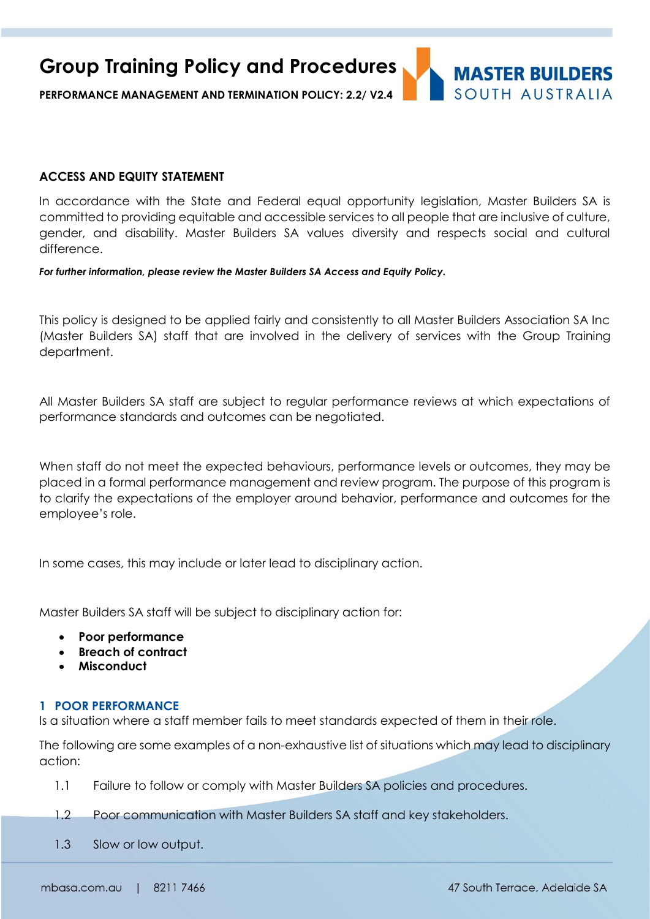**Group Training Policy and Procedures**

**PERFORMANCE MANAGEMENT AND TERMINATION POLICY: 2.2/ V2.4**

## **ACCESS AND EQUITY STATEMENT**

In accordance with the State and Federal equal opportunity legislation, Master Builders SA is committed to providing equitable and accessible services to all people that are inclusive of culture, gender, and disability. Master Builders SA values diversity and respects social and cultural difference.

*For further information, please review the Master Builders SA Access and Equity Policy.*

This policy is designed to be applied fairly and consistently to all Master Builders Association SA Inc (Master Builders SA) staff that are involved in the delivery of services with the Group Training department.

All Master Builders SA staff are subject to regular performance reviews at which expectations of performance standards and outcomes can be negotiated.

When staff do not meet the expected behaviours, performance levels or outcomes, they may be placed in a formal performance management and review program. The purpose of this program is to clarify the expectations of the employer around behavior, performance and outcomes for the employee's role.

In some cases, this may include or later lead to disciplinary action.

Master Builders SA staff will be subject to disciplinary action for:

- **Poor performance**
- **Breach of contract**
- **Misconduct**

### **1 POOR PERFORMANCE**

Is a situation where a staff member fails to meet standards expected of them in their role.

The following are some examples of a non-exhaustive list of situations which may lead to disciplinary action:

- 1.1 Failure to follow or comply with Master Builders SA policies and procedures.
- 1.2 Poor communication with Master Builders SA staff and key stakeholders.
- 1.3 Slow or low output.

**MASTER BUILDERS** SOUTH AUSTRALIA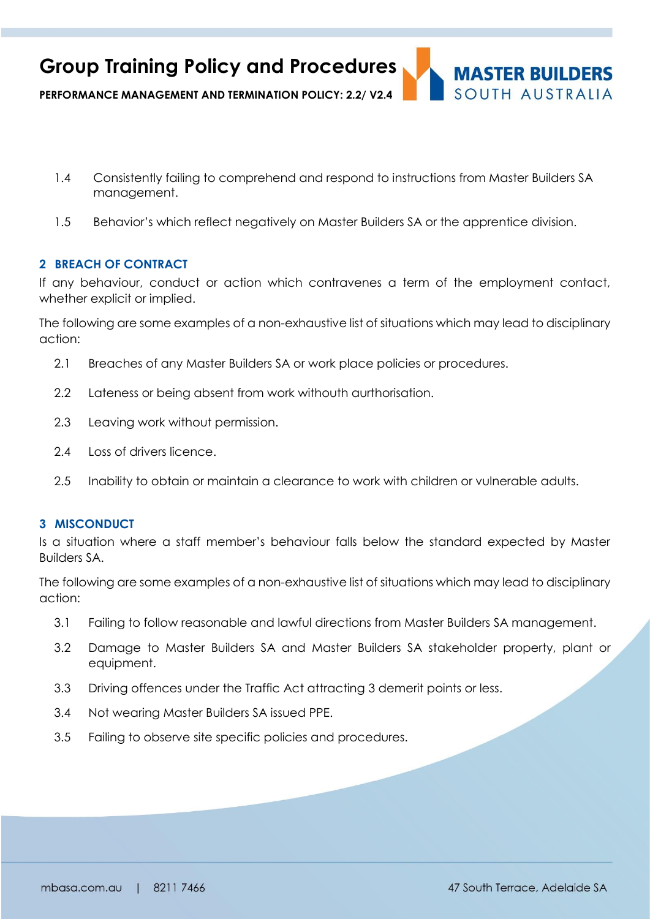

- 1.4 Consistently failing to comprehend and respond to instructions from Master Builders SA management.
- 1.5 Behavior's which reflect negatively on Master Builders SA or the apprentice division.

# **2 BREACH OF CONTRACT**

If any behaviour, conduct or action which contravenes a term of the employment contact, whether explicit or implied.

The following are some examples of a non-exhaustive list of situations which may lead to disciplinary action:

- 2.1 Breaches of any Master Builders SA or work place policies or procedures.
- 2.2 Lateness or being absent from work withouth aurthorisation.
- 2.3 Leaving work without permission.
- 2.4 Loss of drivers licence.
- 2.5 Inability to obtain or maintain a clearance to work with children or vulnerable adults.

#### **3 MISCONDUCT**

Is a situation where a staff member's behaviour falls below the standard expected by Master Builders SA.

The following are some examples of a non-exhaustive list of situations which may lead to disciplinary action:

- 3.1 Failing to follow reasonable and lawful directions from Master Builders SA management.
- 3.2 Damage to Master Builders SA and Master Builders SA stakeholder property, plant or equipment.
- 3.3 Driving offences under the Traffic Act attracting 3 demerit points or less.
- 3.4 Not wearing Master Builders SA issued PPE.
- 3.5 Failing to observe site specific policies and procedures.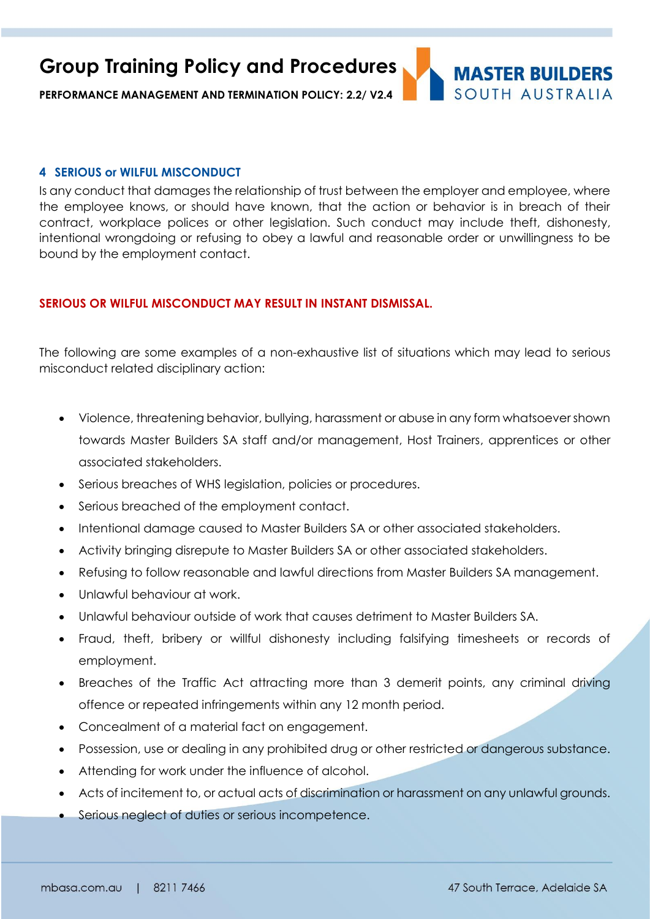**Group Training Policy and Procedures**

**PERFORMANCE MANAGEMENT AND TERMINATION POLICY: 2.2/ V2.4**

## **4 SERIOUS or WILFUL MISCONDUCT**

Is any conduct that damages the relationship of trust between the employer and employee, where the employee knows, or should have known, that the action or behavior is in breach of their contract, workplace polices or other legislation. Such conduct may include theft, dishonesty, intentional wrongdoing or refusing to obey a lawful and reasonable order or unwillingness to be bound by the employment contact.

# **SERIOUS OR WILFUL MISCONDUCT MAY RESULT IN INSTANT DISMISSAL.**

The following are some examples of a non-exhaustive list of situations which may lead to serious misconduct related disciplinary action:

- Violence, threatening behavior, bullying, harassment or abuse in any form whatsoever shown towards Master Builders SA staff and/or management, Host Trainers, apprentices or other associated stakeholders.
- Serious breaches of WHS legislation, policies or procedures.
- Serious breached of the employment contact.
- Intentional damage caused to Master Builders SA or other associated stakeholders.
- Activity bringing disrepute to Master Builders SA or other associated stakeholders.
- Refusing to follow reasonable and lawful directions from Master Builders SA management.
- Unlawful behaviour at work.
- Unlawful behaviour outside of work that causes detriment to Master Builders SA.
- Fraud, theft, bribery or willful dishonesty including falsifying timesheets or records of employment.
- Breaches of the Traffic Act attracting more than 3 demerit points, any criminal driving offence or repeated infringements within any 12 month period.
- Concealment of a material fact on engagement.
- Possession, use or dealing in any prohibited drug or other restricted or dangerous substance.
- Attending for work under the influence of alcohol.
- Acts of incitement to, or actual acts of discrimination or harassment on any unlawful grounds.
- Serious neglect of duties or serious incompetence.

**MASTER BUILDERS** SOUTH AUSTRALIA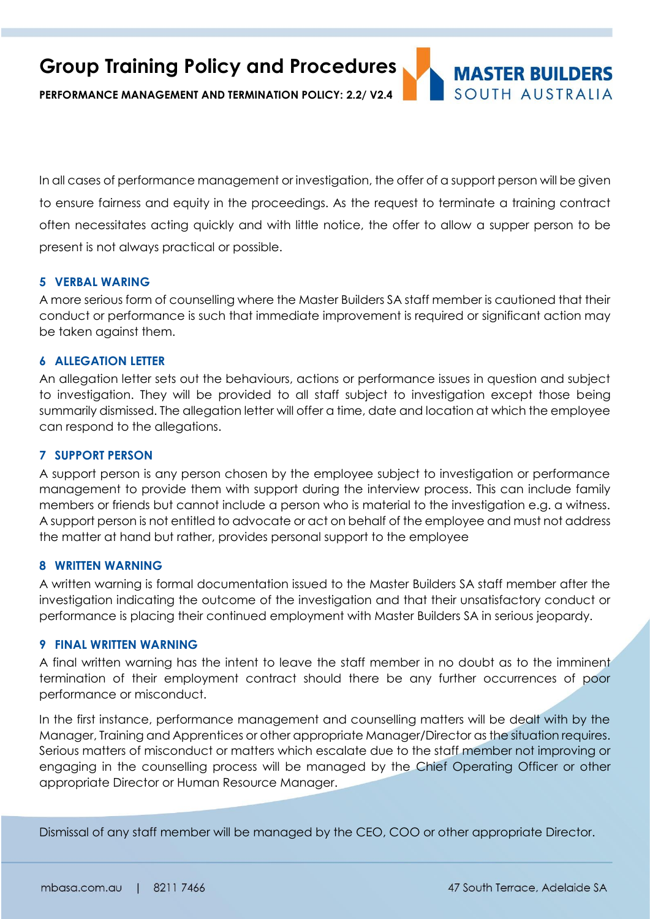**Group Training Policy and Procedures MASTER BUILDERS** SOUTH AUSTRALIA **PERFORMANCE MANAGEMENT AND TERMINATION POLICY: 2.2/ V2.4**

In all cases of performance management or investigation, the offer of a support person will be given to ensure fairness and equity in the proceedings. As the request to terminate a training contract often necessitates acting quickly and with little notice, the offer to allow a supper person to be present is not always practical or possible.

### **5 VERBAL WARING**

A more serious form of counselling where the Master Builders SA staff member is cautioned that their conduct or performance is such that immediate improvement is required or significant action may be taken against them.

### **6 ALLEGATION LETTER**

An allegation letter sets out the behaviours, actions or performance issues in question and subject to investigation. They will be provided to all staff subject to investigation except those being summarily dismissed. The allegation letter will offer a time, date and location at which the employee can respond to the allegations.

### **7 SUPPORT PERSON**

A support person is any person chosen by the employee subject to investigation or performance management to provide them with support during the interview process. This can include family members or friends but cannot include a person who is material to the investigation e.g. a witness. A support person is not entitled to advocate or act on behalf of the employee and must not address the matter at hand but rather, provides personal support to the employee

### **8 WRITTEN WARNING**

A written warning is formal documentation issued to the Master Builders SA staff member after the investigation indicating the outcome of the investigation and that their unsatisfactory conduct or performance is placing their continued employment with Master Builders SA in serious jeopardy.

#### **9 FINAL WRITTEN WARNING**

A final written warning has the intent to leave the staff member in no doubt as to the imminent termination of their employment contract should there be any further occurrences of poor performance or misconduct.

In the first instance, performance management and counselling matters will be dealt with by the Manager, Training and Apprentices or other appropriate Manager/Director as the situation requires. Serious matters of misconduct or matters which escalate due to the staff member not improving or engaging in the counselling process will be managed by the Chief Operating Officer or other appropriate Director or Human Resource Manager.

Dismissal of any staff member will be managed by the CEO, COO or other appropriate Director.